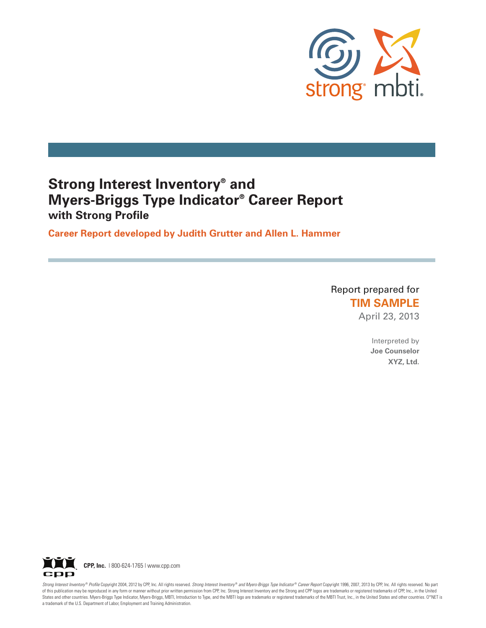

# **Strong Interest Inventory® and Myers-Briggs Type Indicator® Career Report with Strong Profile**

**Career Report developed by Judith Grutter and Allen L. Hammer**

Report prepared for **TIM SAMPLE** April 23, 2013

> Interpreted by **Joe Counselor XYZ, Ltd.**



Strong Interest Inventory® Profile Copyright 2004, 2012 by CPP, Inc. All rights reserved. *Strong Interest Inventory® and Myers-Briggs Type Indicator® Career Report* Copyright 1996, 2007, 2013 by CPP, Inc. All rights reser States and other countries. Myers-Briggs Type Indicator, Myers-Briggs, MBTI, Introduction to Type, and the MBTI logo are trademarks or registered trademarks of the MBTI Trust, Inc., in the United States and other countries a trademark of the U.S. Department of Labor, Employment and Training Administration.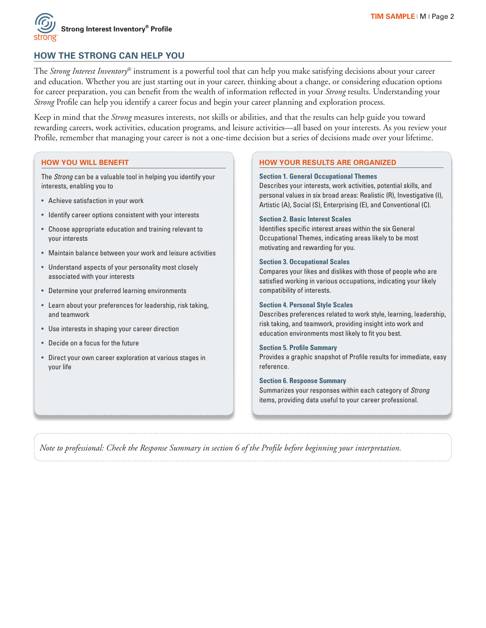

# **HOW THE STRONG CAN HELP YOU**

The *Strong Interest Inventory*® instrument is a powerful tool that can help you make satisfying decisions about your career and education. Whether you are just starting out in your career, thinking about a change, or considering education options for career preparation, you can benefit from the wealth of information reflected in your *Strong* results. Understanding your *Strong* Profile can help you identify a career focus and begin your career planning and exploration process.

Keep in mind that the *Strong* measures interests, not skills or abilities, and that the results can help guide you toward rewarding careers, work activities, education programs, and leisure activities—all based on your interests. As you review your Profile, remember that managing your career is not a one-time decision but a series of decisions made over your lifetime.

### **HOW YOU WILL BENEFIT**

The *Strong* can be a valuable tool in helping you identify your interests, enabling you to

- Achieve satisfaction in your work
- Identify career options consistent with your interests
- Choose appropriate education and training relevant to your interests
- Maintain balance between your work and leisure activities
- Understand aspects of your personality most closely associated with your interests
- Determine your preferred learning environments
- Learn about your preferences for leadership, risk taking, and teamwork
- Use interests in shaping your career direction
- Decide on a focus for the future
- Direct your own career exploration at various stages in your life

#### **HOW YOUR RESULTS ARE ORGANIZED**

#### **Section 1. General Occupational Themes**

Describes your interests, work activities, potential skills, and personal values in six broad areas: Realistic (R), Investigative (I), Artistic (A), Social (S), Enterprising (E), and Conventional (C).

#### **Section 2. Basic Interest Scales**

Identifies specific interest areas within the six General Occupational Themes, indicating areas likely to be most motivating and rewarding for you.

#### **Section 3. Occupational Scales**

Compares your likes and dislikes with those of people who are satisfied working in various occupations, indicating your likely compatibility of interests.

#### **Section 4. Personal Style Scales**

Describes preferences related to work style, learning, leadership, risk taking, and teamwork, providing insight into work and education environments most likely to fit you best.

#### **Section 5. Profile Summary**

Provides a graphic snapshot of Profile results for immediate, easy reference.

#### **Section 6. Response Summary**

Summarizes your responses within each category of *Strong* items, providing data useful to your career professional.

*Note to professional: Check the Response Summary in section 6 of the Profile before beginning your interpretation.*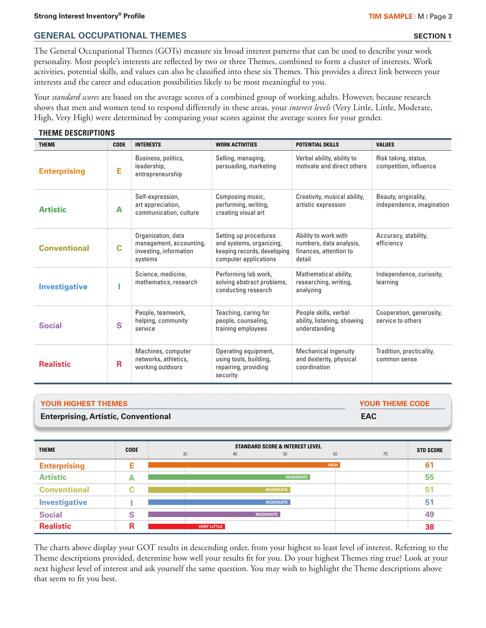# **GENERAL OCCUPATIONAL THEMES SECTION 1**

The General Occupational Themes (GOTs) measure six broad interest patterns that can be used to describe your work personality. Most people's interests are reflected by two or three Themes, combined to form a cluster of interests. Work activities, potential skills, and values can also be classified into these six Themes. This provides a direct link between your interests and the career and education possibilities likely to be most meaningful to you.

Your *standard scores* are based on the average scores of a combined group of working adults. However, because research shows that men and women tend to respond differently in these areas, your *interest levels* (Very Little, Little, Moderate, High, Very High) were determined by comparing your scores against the average scores for your gender.

# **THEME DESCRIPTIONS**

| <b>THEME</b>         | <b>CODE</b> | <b>INTERESTS</b>                                                                   | <b>WORK ACTIVITIES</b>                                                                                    | <b>POTENTIAL SKILLS</b>                                                             | <b>VALUES</b>                                     |
|----------------------|-------------|------------------------------------------------------------------------------------|-----------------------------------------------------------------------------------------------------------|-------------------------------------------------------------------------------------|---------------------------------------------------|
| <b>Enterprising</b>  | E           | Business, politics,<br>leadership,<br>entrepreneurship                             | Selling, managing,<br>persuading, marketing                                                               | Verbal ability, ability to<br>motivate and direct others                            | Risk taking, status,<br>competition, influence    |
| <b>Artistic</b>      | A           | Self-expression,<br>art appreciation,<br>communication, culture                    | Composing music,<br>performing, writing,<br>creating visual art                                           | Creativity, musical ability,<br>artistic expression                                 | Beauty, originality,<br>independence, imagination |
| <b>Conventional</b>  | С           | Organization, data<br>management, accounting,<br>investing, information<br>systems | Setting up procedures<br>and systems, organizing,<br>keeping records, developing<br>computer applications | Ability to work with<br>numbers, data analysis,<br>finances, attention to<br>detail | Accuracy, stability,<br>efficiency                |
| <b>Investigative</b> |             | Science, medicine,<br>mathematics, research                                        | Performing lab work,<br>solving abstract problems,<br>conducting research                                 | Mathematical ability,<br>researching, writing,<br>analyzing                         | Independence, curiosity,<br>learning              |
| <b>Social</b>        | S           | People, teamwork,<br>helping, community<br>service                                 | Teaching, caring for<br>people, counseling,<br>training employees                                         | People skills, verbal<br>ability, listening, showing<br>understanding               | Cooperation, generosity,<br>service to others     |
| <b>Realistic</b>     | R           | Machines, computer<br>networks, athletics,<br>working outdoors                     | Operating equipment,<br>using tools, building,<br>repairing, providing<br>security                        | <b>Mechanical ingenuity</b><br>and dexterity, physical<br>coordination              | Tradition, practicality,<br>common sense          |

| <b>Enterprising, Artistic, Conventional</b> | <b>EAC</b>             |
|---------------------------------------------|------------------------|
| <b>YOUR HIGHEST THEMES</b>                  | <b>YOUR THEME CODE</b> |
|                                             |                        |

| <b>THEME</b>         | <b>CODE</b> | <b>STANDARD SCORE &amp; INTEREST LEVEL</b> |                    |                 |             |    |                |  |  |
|----------------------|-------------|--------------------------------------------|--------------------|-----------------|-------------|----|----------------|--|--|
|                      |             | 30                                         | 40                 | 50              | 60          | 70 |                |  |  |
| <b>Enterprising</b>  |             |                                            |                    |                 | <b>HIGH</b> |    | 6 <sup>1</sup> |  |  |
| <b>Artistic</b>      |             |                                            |                    | <b>MODERATE</b> |             |    | 55             |  |  |
| <b>Conventional</b>  | ⌒<br>ι.     | <b>MODERATE</b>                            |                    |                 |             |    | $5^{\circ}$    |  |  |
| <b>Investigative</b> |             |                                            | <b>MODERATE</b>    |                 |             |    |                |  |  |
| <b>Social</b>        | S           |                                            |                    | <b>MODERATE</b> |             |    | 49             |  |  |
| <b>Realistic</b>     | R           |                                            | <b>VERY LITTLE</b> |                 |             |    | 38             |  |  |

The charts above display your GOT results in descending order, from your highest to least level of interest. Referring to the Theme descriptions provided, determine how well your results fit for you. Do your highest Themes ring true? Look at your next highest level of interest and ask yourself the same question. You may wish to highlight the Theme descriptions above that seem to fit you best.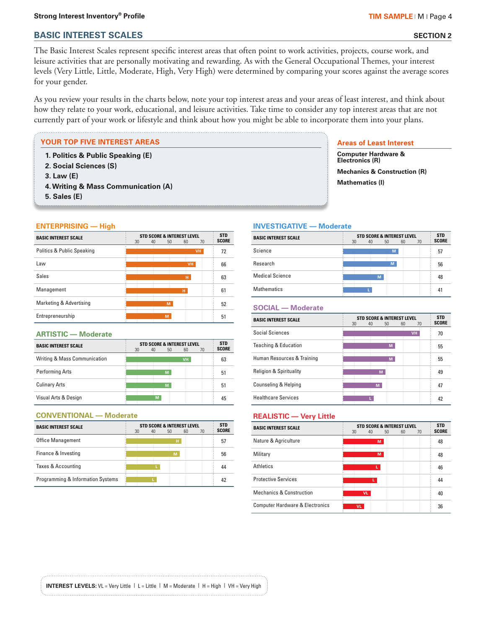#### **Strong Interest Inventory® Profile TIM SAMPLE** M Page 4

The Basic Interest Scales represent specific interest areas that often point to work activities, projects, course work, and leisure activities that are personally motivating and rewarding. As with the General Occupational Themes, your interest levels (Very Little, Little, Moderate, High, Very High) were determined by comparing your scores against the average scores for your gender.

As you review your results in the charts below, note your top interest areas and your areas of least interest, and think about how they relate to your work, educational, and leisure activities. Take time to consider any top interest areas that are not currently part of your work or lifestyle and think about how you might be able to incorporate them into your plans.

#### **YOUR TOP FIVE INTEREST AREAS**

- **1. Politics & Public Speaking (E)**
- **2. Social Sciences (S)**
- **3. Law (E)**
- **4. Writing & Mass Communication (A)**
- **5. Sales (E)**

#### **ENTERPRISING — High**

| <b>BASIC INTEREST SCALE</b> | 30 | <b>STD SCORE &amp; INTEREST LEVEL</b><br>40 | $50^{\circ}$ | 60        | 70        | <b>STD</b><br><b>SCORE</b> |
|-----------------------------|----|---------------------------------------------|--------------|-----------|-----------|----------------------------|
| Politics & Public Speaking  |    |                                             |              |           | <b>VH</b> | 72                         |
| Law                         |    |                                             |              | <b>VH</b> |           | 66                         |
| <b>Sales</b>                |    |                                             |              | H.        |           | 63                         |
| Management                  |    |                                             |              | н         |           | 61                         |
| Marketing & Advertising     |    |                                             | M            |           |           | 52                         |
| Entrepreneurship            |    |                                             | M            |           |           | 51                         |

### **ARTISTIC — Moderate**

| <b>BASIC INTEREST SCALE</b>  | 30 | 40 | <b>STD SCORE &amp; INTEREST LEVEL</b><br>$50^{\circ}$<br>60 | 70 | <b>STD</b><br><b>SCORE</b> |
|------------------------------|----|----|-------------------------------------------------------------|----|----------------------------|
| Writing & Mass Communication |    |    | <b>VH</b>                                                   |    | 63                         |
| <b>Performing Arts</b>       |    | M  |                                                             |    | 51                         |
| <b>Culinary Arts</b>         |    | M  |                                                             |    | 5                          |
| Visual Arts & Design         |    | M  |                                                             |    | 45                         |

## **CONVENTIONAL — Moderate**

| <b>BASIC INTEREST SCALE</b>       | 30 | 40 | 50 | <b>STD SCORE &amp; INTEREST LEVEL</b><br>60 | 70 | <b>STD</b><br><b>SCORE</b> |
|-----------------------------------|----|----|----|---------------------------------------------|----|----------------------------|
| <b>Office Management</b>          |    |    | н  |                                             |    | 57                         |
| Finance & Investing               |    |    | M  |                                             |    | 56                         |
| Taxes & Accounting                |    |    |    |                                             |    | 44                         |
| Programming & Information Systems |    |    |    |                                             |    | 42                         |

# **Computer Hardware &**

**Areas of Least Interest**

**Electronics (R) Mechanics & Construction (R) Mathematics (I)**

#### **INVESTIGATIVE — Moderate**

| <b>BASIC INTEREST SCALE</b> | 30 | 40 | 50 | <b>STD SCORE &amp; INTEREST LEVEL</b><br>60 | 70 | <b>STD</b><br><b>SCORE</b> |
|-----------------------------|----|----|----|---------------------------------------------|----|----------------------------|
| Science                     |    |    | M  |                                             |    | 57                         |
| Research                    |    |    | M  |                                             |    | 56                         |
| <b>Medical Science</b>      |    | M  |    |                                             |    | 48                         |
| <b>Mathematics</b>          |    |    |    |                                             |    | 41                         |

### **SOCIAL — Moderate**

| <b>BASIC INTEREST SCALE</b>        | <b>STD SCORE &amp; INTEREST LEVEL</b><br>30<br>70<br>40<br>50<br>60 |  |          |                |  |           | <b>STD</b><br><b>SCORE</b> |
|------------------------------------|---------------------------------------------------------------------|--|----------|----------------|--|-----------|----------------------------|
| Social Sciences                    |                                                                     |  |          |                |  | <b>VH</b> | 70                         |
| <b>Teaching &amp; Education</b>    |                                                                     |  |          | M <sub>1</sub> |  |           | 55                         |
| Human Resources & Training         |                                                                     |  |          | <b>M</b>       |  |           | 55                         |
| <b>Religion &amp; Spirituality</b> |                                                                     |  | M        |                |  |           | 49                         |
| Counseling & Helping               |                                                                     |  | <b>M</b> |                |  |           | 47                         |
| <b>Healthcare Services</b>         |                                                                     |  |          |                |  |           | 42                         |

# **REALISTIC — Very Little**

| <b>BASIC INTEREST SCALE</b>                | 30  | <b>STD SCORE &amp; INTEREST LEVEL</b><br>40 | 50 | 60 | 70 | <b>STD</b><br><b>SCORE</b> |
|--------------------------------------------|-----|---------------------------------------------|----|----|----|----------------------------|
| Nature & Agriculture                       |     | M                                           |    |    |    | 48                         |
| Military                                   |     | M                                           |    |    |    | 48                         |
| <b>Athletics</b>                           |     | L.                                          |    |    |    | 46                         |
| <b>Protective Services</b>                 |     |                                             |    |    |    | 44                         |
| <b>Mechanics &amp; Construction</b>        |     | <b>VL</b>                                   |    |    |    | 40                         |
| <b>Computer Hardware &amp; Electronics</b> | VL. |                                             |    |    |    | 36                         |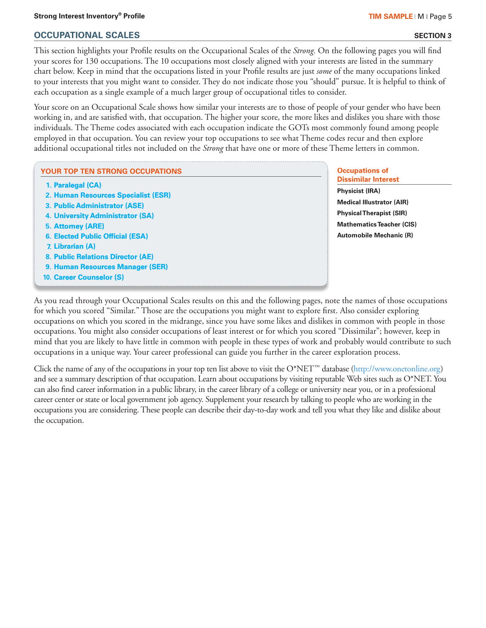#### **Strong Interest Inventory® Profile TIM SAMPLE** M Page 5

# **OCCUPATIONAL SCALES**

# **SECTION 3**

This section highlights your Profile results on the Occupational Scales of the *Strong.* On the following pages you will find your scores for 130 occupations. The 10 occupations most closely aligned with your interests are listed in the summary chart below. Keep in mind that the occupations listed in your Profile results are just *some* of the many occupations linked to your interests that you might want to consider. They do not indicate those you "should" pursue. It is helpful to think of each occupation as a single example of a much larger group of occupational titles to consider.

Your score on an Occupational Scale shows how similar your interests are to those of people of your gender who have been working in, and are satisfied with, that occupation. The higher your score, the more likes and dislikes you share with those individuals. The Theme codes associated with each occupation indicate the GOTs most commonly found among people employed in that occupation. You can review your top occupations to see what Theme codes recur and then explore additional occupational titles not included on the *Strong* that have one or more of these Theme letters in common.

#### **YOUR TOP TEN STRONG OCCUPATIONS**

- **1. [Paralegal \(CA\)](http://www.onetonline.org/link/summary/23-2011.00)**
- **2. [Human Resources Specialist \(ESR\)](http://www.onetonline.org/link/summary/13-1071.00)**
- **3. [Public Administrator \(ASE\)](http://www.onetonline.org/link/summary/11-1011.00)**
- **4. [University Administrator \(SA\)](http://www.onetonline.org/link/summary/11-9033.00)**
- **5. [Attorney \(ARE\)](http://www.onetonline.org/link/summary/23-1011.00)**
- **6. [Elected Public Official \(ESA\)](http://www.onetonline.org/link/summary/11-1031.00)**
- **7. [Librarian \(A\)](http://www.onetonline.org/link/summary/25-4021.00)**
- **8. [Public Relations Director \(AE\)](http://www.onetonline.org/link/summary/11-2031.00)**
- **9. [Human Resources Manager \(SER\)](http://www.onetonline.org/link/summary/11-3121.00)**
- **10. [Career Counselor \(S\)](http://www.onetonline.org/link/summary/21-1012.00)**

#### **Occupations of Dissimilar Interest**

**Physicist (IRA) Medical Illustrator (AIR) Physical Therapist (SIR) Mathematics Teacher (CIS) Automobile Mechanic (R)**

As you read through your Occupational Scales results on this and the following pages, note the names of those occupations for which you scored "Similar." Those are the occupations you might want to explore first. Also consider exploring occupations on which you scored in the midrange, since you have some likes and dislikes in common with people in those occupations. You might also consider occupations of least interest or for which you scored "Dissimilar"; however, keep in mind that you are likely to have little in common with people in these types of work and probably would contribute to such occupations in a unique way. Your career professional can guide you further in the career exploration process.

Click the name of any of the occupations in your top ten list above to visit the O\*NET™ database (http://www.onetonline.org) and see a summary description of that occupation. Learn about occupations by visiting reputable Web sites such as O\*NET. You can also find career information in a public library, in the career library of a college or university near you, or in a professional career center or state or local government job agency. Supplement your research by talking to people who are working in the occupations you are considering. These people can describe their day-to-day work and tell you what they like and dislike about the occupation.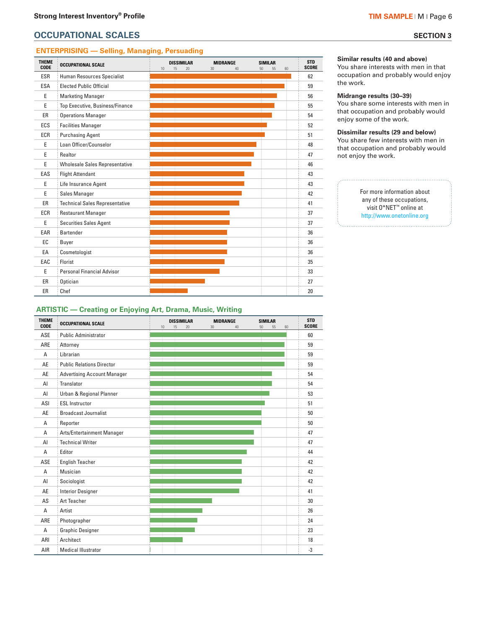# **OCCUPATIONAL SCALES** SECTION 3

# **ENTERPRISING — Selling, Managing, Persuading**

| <b>THEME</b><br><b>CODE</b> | <b>OCCUPATIONAL SCALE</b>             | <b>DISSIMILAR</b><br>15<br>20<br>10 | <b>MIDRANGE</b><br>30<br>40 | <b>SIMILAR</b><br>50<br>55<br>60 | <b>STD</b><br><b>SCORE</b> |
|-----------------------------|---------------------------------------|-------------------------------------|-----------------------------|----------------------------------|----------------------------|
| <b>ESR</b>                  | Human Resources Specialist            |                                     |                             |                                  | 62                         |
| ESA                         | <b>Elected Public Official</b>        |                                     |                             |                                  | 59                         |
| E                           | <b>Marketing Manager</b>              |                                     |                             |                                  | 56                         |
| E                           | Top Executive, Business/Finance       |                                     |                             |                                  | 55                         |
| ER                          | <b>Operations Manager</b>             |                                     |                             |                                  | 54                         |
| ECS                         | <b>Facilities Manager</b>             |                                     |                             |                                  | 52                         |
| ECR                         | <b>Purchasing Agent</b>               |                                     |                             |                                  | 51                         |
| E                           | Loan Officer/Counselor                |                                     |                             |                                  | 48                         |
| E                           | Realtor                               |                                     |                             |                                  | 47                         |
| E                           | <b>Wholesale Sales Representative</b> |                                     |                             |                                  | 46                         |
| EAS                         | <b>Flight Attendant</b>               |                                     |                             |                                  | 43                         |
| E                           | Life Insurance Agent                  |                                     |                             |                                  | 43                         |
| E                           | <b>Sales Manager</b>                  |                                     |                             |                                  | 42                         |
| ER                          | <b>Technical Sales Representative</b> |                                     |                             |                                  | 41                         |
| ECR                         | <b>Restaurant Manager</b>             |                                     |                             |                                  | 37                         |
| E                           | <b>Securities Sales Agent</b>         |                                     |                             |                                  | 37                         |
| EAR                         | <b>Bartender</b>                      |                                     |                             |                                  | 36                         |
| EC                          | Buyer                                 |                                     |                             |                                  | 36                         |
| EA                          | Cosmetologist                         |                                     |                             |                                  | 36                         |
| EAC                         | Florist                               |                                     |                             |                                  | 35                         |
| E                           | Personal Financial Advisor            |                                     |                             |                                  | 33                         |
| ER                          | Optician                              |                                     |                             |                                  | 27                         |
| ER                          | Chef                                  |                                     |                             |                                  | 20                         |

**Similar results (40 and above)** 

You share interests with men in that occupation and probably would enjoy the work.

#### **Midrange results (30–39)**

You share some interests with men in that occupation and probably would enjoy some of the work.

**Dissimilar results (29 and below)** 

You share few interests with men in that occupation and probably would not enjoy the work.

> For more information about any of these occupations, visit O\*NET ™ online at http://www.onetonline.org

# **ARTISTIC — Creating or Enjoying Art, Drama, Music, Writing**

| <b>THEME</b><br><b>CODE</b> | <b>OCCUPATIONAL SCALE</b>          | 15<br>10 | <b>DISSIMILAR</b><br>20 | <b>MIDRANGE</b><br>30<br>40 | <b>SIMILAR</b><br>50<br>55<br>60 | <b>STD</b><br><b>SCORE</b> |
|-----------------------------|------------------------------------|----------|-------------------------|-----------------------------|----------------------------------|----------------------------|
| ASE                         | <b>Public Administrator</b>        |          |                         |                             |                                  | 60                         |
| ARE                         | Attorney                           |          |                         |                             |                                  | 59                         |
| A                           | Librarian                          |          |                         |                             |                                  | 59                         |
| AE                          | <b>Public Relations Director</b>   |          |                         |                             |                                  | 59                         |
| AE                          | <b>Advertising Account Manager</b> |          |                         |                             |                                  | 54                         |
| AI                          | Translator                         |          |                         |                             |                                  | 54                         |
| AI                          | Urban & Regional Planner           |          |                         |                             |                                  | 53                         |
| ASI                         | <b>ESL Instructor</b>              |          |                         |                             |                                  | 51                         |
| AE                          | <b>Broadcast Journalist</b>        |          |                         |                             |                                  | 50                         |
| A                           | Reporter                           |          |                         |                             |                                  | 50                         |
| A                           | Arts/Entertainment Manager         |          |                         |                             |                                  | 47                         |
| AI                          | <b>Technical Writer</b>            |          |                         |                             |                                  | 47                         |
| A                           | Editor                             |          |                         |                             |                                  | 44                         |
| ASE                         | <b>English Teacher</b>             |          |                         |                             |                                  | 42                         |
| A                           | Musician                           |          |                         |                             |                                  | 42                         |
| AI                          | Sociologist                        |          |                         |                             |                                  | 42                         |
| AE                          | <b>Interior Designer</b>           |          |                         |                             |                                  | 41                         |
| AS                          | <b>Art Teacher</b>                 |          |                         |                             |                                  | 30                         |
| A                           | Artist                             |          |                         |                             |                                  | 26                         |
| ARE                         | Photographer                       |          |                         |                             |                                  | 24                         |
| Α                           | <b>Graphic Designer</b>            |          |                         |                             |                                  | 23                         |
| ARI                         | Architect                          |          |                         |                             |                                  | 18                         |
| AIR                         | <b>Medical Illustrator</b>         |          |                         |                             |                                  | $-3$                       |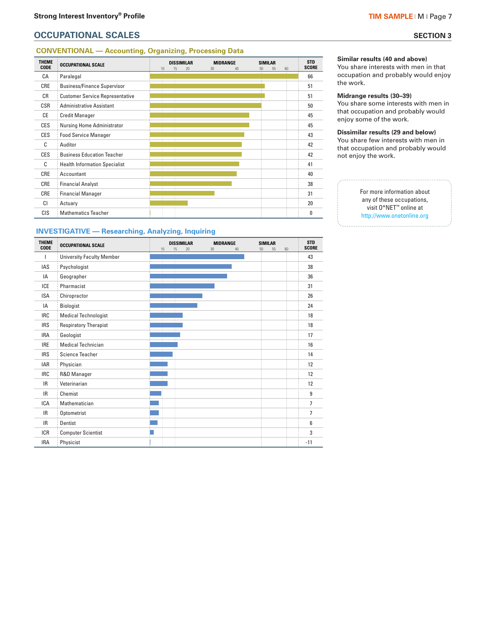# **OCCUPATIONAL SCALES** SECTION 3

# **CONVENTIONAL — Accounting, Organizing, Processing Data**

| <b>THEME</b><br><b>CODE</b> | <b>OCCUPATIONAL SCALE</b>              | 10 | <b>DISSIMILAR</b><br>20<br>15 | <b>MIDRANGE</b><br>30 | 40 | <b>SIMILAR</b><br>50 | 60<br>55 | <b>STD</b><br><b>SCORE</b> |
|-----------------------------|----------------------------------------|----|-------------------------------|-----------------------|----|----------------------|----------|----------------------------|
| CA                          | Paralegal                              |    |                               |                       |    |                      |          | 66                         |
| <b>CRE</b>                  | <b>Business/Finance Supervisor</b>     |    |                               |                       |    |                      |          | 51                         |
| CR                          | <b>Customer Service Representative</b> |    |                               |                       |    |                      |          | 51                         |
| <b>CSR</b>                  | <b>Administrative Assistant</b>        |    |                               |                       |    |                      |          | 50                         |
| <b>CE</b>                   | <b>Credit Manager</b>                  |    |                               |                       |    |                      |          | 45                         |
| <b>CES</b>                  | <b>Nursing Home Administrator</b>      |    |                               |                       |    |                      |          | 45                         |
| <b>CES</b>                  | <b>Food Service Manager</b>            |    |                               |                       |    |                      |          | 43                         |
| C                           | Auditor                                |    |                               |                       |    |                      |          | 42                         |
| <b>CES</b>                  | <b>Business Education Teacher</b>      |    |                               |                       |    |                      |          | 42                         |
| C                           | <b>Health Information Specialist</b>   |    |                               |                       |    |                      |          | 41                         |
| <b>CRE</b>                  | Accountant                             |    |                               |                       |    |                      |          | 40                         |
| <b>CRE</b>                  | <b>Financial Analyst</b>               |    |                               |                       |    |                      |          | 38                         |
| <b>CRE</b>                  | <b>Financial Manager</b>               |    |                               |                       |    |                      |          | 31                         |
| CI                          | Actuary                                |    |                               |                       |    |                      |          | 20                         |
| <b>CIS</b>                  | Mathematics Teacher                    |    |                               |                       |    |                      |          | 0                          |

#### For more information about any of these occupations, visit O\*NET ™ online at

You share some interests with men in that occupation and probably would

**Dissimilar results (29 and below)**  You share few interests with men in that occupation and probably would

**Similar results (40 and above)**  You share interests with men in that occupation and probably would enjoy

**Midrange results (30–39)** 

enjoy some of the work.

not enjoy the work.

the work.

http://www.onetonline.org

# **INVESTIGATIVE — Researching, Analyzing, Inquiring**

| <b>THEME</b><br><b>CODE</b> | <b>OCCUPATIONAL SCALE</b>        | <b>DISSIMILAR</b><br>15<br>20<br>10 | <b>MIDRANGE</b><br>30<br>40 | <b>SIMILAR</b><br>50<br>55<br>60 | <b>STD</b><br><b>SCORE</b> |
|-----------------------------|----------------------------------|-------------------------------------|-----------------------------|----------------------------------|----------------------------|
| L                           | <b>University Faculty Member</b> |                                     |                             |                                  | 43                         |
| <b>IAS</b>                  | Psychologist                     |                                     |                             |                                  | 38                         |
| IA                          | Geographer                       |                                     |                             |                                  | 36                         |
| <b>ICE</b>                  | Pharmacist                       |                                     |                             |                                  | 31                         |
| <b>ISA</b>                  | Chiropractor                     |                                     |                             |                                  | 26                         |
| IA                          | <b>Biologist</b>                 |                                     |                             |                                  | 24                         |
| <b>IRC</b>                  | <b>Medical Technologist</b>      |                                     |                             |                                  | 18                         |
| <b>IRS</b>                  | <b>Respiratory Therapist</b>     |                                     |                             |                                  | 18                         |
| <b>IRA</b>                  | Geologist                        |                                     |                             |                                  | 17                         |
| <b>IRE</b>                  | <b>Medical Technician</b>        |                                     |                             |                                  | 16                         |
| <b>IRS</b>                  | <b>Science Teacher</b>           |                                     |                             |                                  | 14                         |
| <b>IAR</b>                  | Physician                        |                                     |                             |                                  | 12                         |
| <b>IRC</b>                  | R&D Manager                      |                                     |                             |                                  | 12                         |
| <b>IR</b>                   | Veterinarian                     |                                     |                             |                                  | 12                         |
| IR.                         | Chemist                          |                                     |                             |                                  | 9                          |
| <b>ICA</b>                  | Mathematician                    |                                     |                             |                                  | 7                          |
| IR                          | Optometrist                      |                                     |                             |                                  | $\overline{7}$             |
| <b>IR</b>                   | Dentist                          |                                     |                             |                                  | 6                          |
| <b>ICR</b>                  | <b>Computer Scientist</b>        |                                     |                             |                                  | 3                          |
| <b>IRA</b>                  | Physicist                        |                                     |                             |                                  | $-11$                      |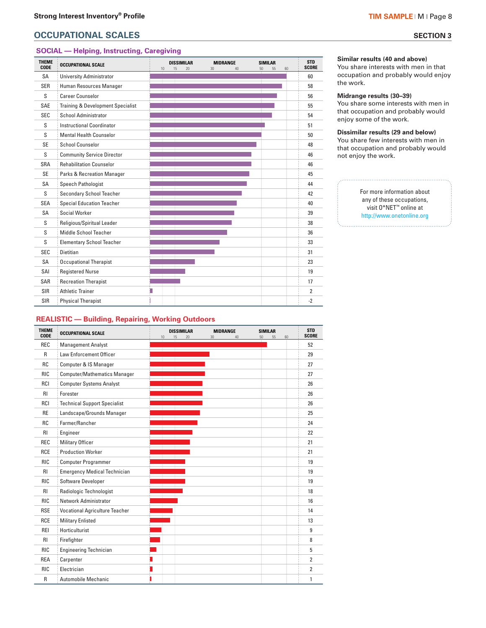# **OCCUPATIONAL SCALES** SECTION 3

# **SOCIAL — Helping, Instructing, Caregiving**

| <b>THEME</b><br><b>CODE</b> | <b>OCCUPATIONAL SCALE</b>                    | <b>DISSIMILAR</b><br>15<br>10 | 20<br>30 | <b>MIDRANGE</b><br>40 | <b>SIMILAR</b><br>50<br>55<br>60 | <b>STD</b><br><b>SCORE</b> |
|-----------------------------|----------------------------------------------|-------------------------------|----------|-----------------------|----------------------------------|----------------------------|
| SA                          | <b>University Administrator</b>              |                               |          |                       |                                  | 60                         |
| <b>SER</b>                  | Human Resources Manager                      |                               |          |                       |                                  | 58                         |
| S                           | Career Counselor                             |                               |          |                       |                                  | 56                         |
| SAE                         | <b>Training &amp; Development Specialist</b> |                               |          |                       |                                  | 55                         |
| <b>SEC</b>                  | <b>School Administrator</b>                  |                               |          |                       |                                  | 54                         |
| S                           | <b>Instructional Coordinator</b>             |                               |          |                       |                                  | 51                         |
| S                           | <b>Mental Health Counselor</b>               |                               |          |                       |                                  | 50                         |
| <b>SE</b>                   | School Counselor                             |                               |          |                       |                                  | 48                         |
| S                           | <b>Community Service Director</b>            |                               |          |                       |                                  | 46                         |
| <b>SRA</b>                  | <b>Rehabilitation Counselor</b>              |                               |          |                       |                                  | 46                         |
| <b>SE</b>                   | <b>Parks &amp; Recreation Manager</b>        |                               |          |                       |                                  | 45                         |
| SA                          | Speech Pathologist                           |                               |          |                       |                                  | 44                         |
| S                           | <b>Secondary School Teacher</b>              |                               |          |                       |                                  | 42                         |
| <b>SEA</b>                  | <b>Special Education Teacher</b>             |                               |          |                       |                                  | 40                         |
| SA                          | Social Worker                                |                               |          |                       |                                  | 39                         |
| S                           | Religious/Spiritual Leader                   |                               |          |                       |                                  | 38                         |
| S                           | Middle School Teacher                        |                               |          |                       |                                  | 36                         |
| S                           | <b>Elementary School Teacher</b>             |                               |          |                       |                                  | 33                         |
| <b>SEC</b>                  | Dietitian                                    |                               |          |                       |                                  | 31                         |
| <b>SA</b>                   | <b>Occupational Therapist</b>                |                               |          |                       |                                  | 23                         |
| SAI                         | <b>Registered Nurse</b>                      |                               |          |                       |                                  | 19                         |
| SAR                         | <b>Recreation Therapist</b>                  |                               |          |                       |                                  | 17                         |
| <b>SIR</b>                  | <b>Athletic Trainer</b>                      | ١.                            |          |                       |                                  | $\overline{2}$             |
| <b>SIR</b>                  | <b>Physical Therapist</b>                    |                               |          |                       |                                  | $-2$                       |

#### **Similar results (40 and above)**

You share interests with men in that occupation and probably would enjoy the work.

#### **Midrange results (30–39)**

You share some interests with men in that occupation and probably would enjoy some of the work.

# **Dissimilar results (29 and below)**

You share few interests with men in that occupation and probably would not enjoy the work.

#### For more information about any of these occupations, visit O\*NET ™ online at http://www.onetonline.org

# **REALISTIC — Building, Repairing, Working Outdoors**

| <b>THEME</b><br>CODE | <b>OCCUPATIONAL SCALE</b>             | 10 | 15 | <b>DISSIMILAR</b><br>20 | <b>MIDRANGE</b><br>30 | 40 | <b>SIMILAR</b><br>50 | 55<br>60 | <b>STD</b><br><b>SCORE</b> |
|----------------------|---------------------------------------|----|----|-------------------------|-----------------------|----|----------------------|----------|----------------------------|
| <b>REC</b>           | <b>Management Analyst</b>             |    |    |                         |                       |    |                      |          | 52                         |
| R                    | <b>Law Enforcement Officer</b>        |    |    |                         |                       |    |                      |          | 29                         |
| <b>RC</b>            | Computer & IS Manager                 |    |    |                         |                       |    |                      |          | 27                         |
| <b>RIC</b>           | <b>Computer/Mathematics Manager</b>   |    |    |                         |                       |    |                      |          | 27                         |
| RCI                  | <b>Computer Systems Analyst</b>       |    |    |                         |                       |    |                      |          | 26                         |
| <b>RI</b>            | Forester                              |    |    |                         |                       |    |                      |          | 26                         |
| RCI                  | <b>Technical Support Specialist</b>   |    |    |                         |                       |    |                      |          | 26                         |
| <b>RE</b>            | Landscape/Grounds Manager             |    |    |                         |                       |    |                      |          | 25                         |
| <b>RC</b>            | Farmer/Rancher                        |    |    |                         |                       |    |                      |          | 24                         |
| <b>RI</b>            | Engineer                              |    |    |                         |                       |    |                      |          | 22                         |
| <b>REC</b>           | Military Officer                      |    |    |                         |                       |    |                      |          | 21                         |
| <b>RCE</b>           | <b>Production Worker</b>              |    |    |                         |                       |    |                      |          | 21                         |
| <b>RIC</b>           | <b>Computer Programmer</b>            |    |    |                         |                       |    |                      |          | 19                         |
| R1                   | <b>Emergency Medical Technician</b>   |    |    |                         |                       |    |                      |          | 19                         |
| <b>RIC</b>           | Software Developer                    |    |    |                         |                       |    |                      |          | 19                         |
| R1                   | Radiologic Technologist               |    |    |                         |                       |    |                      |          | 18                         |
| <b>RIC</b>           | Network Administrator                 |    |    |                         |                       |    |                      |          | 16                         |
| <b>RSE</b>           | <b>Vocational Agriculture Teacher</b> |    |    |                         |                       |    |                      |          | 14                         |
| <b>RCE</b>           | <b>Military Enlisted</b>              |    |    |                         |                       |    |                      |          | 13                         |
| REI                  | Horticulturist                        |    |    |                         |                       |    |                      |          | 9                          |
| R1                   | Firefighter                           |    |    |                         |                       |    |                      |          | 8                          |
| <b>RIC</b>           | <b>Engineering Technician</b>         |    |    |                         |                       |    |                      |          | 5                          |
| <b>REA</b>           | Carpenter                             |    |    |                         |                       |    |                      |          | $\overline{2}$             |
| <b>RIC</b>           | Electrician                           |    |    |                         |                       |    |                      |          | $\overline{2}$             |
| R                    | Automobile Mechanic                   | ï  |    |                         |                       |    |                      |          | 1                          |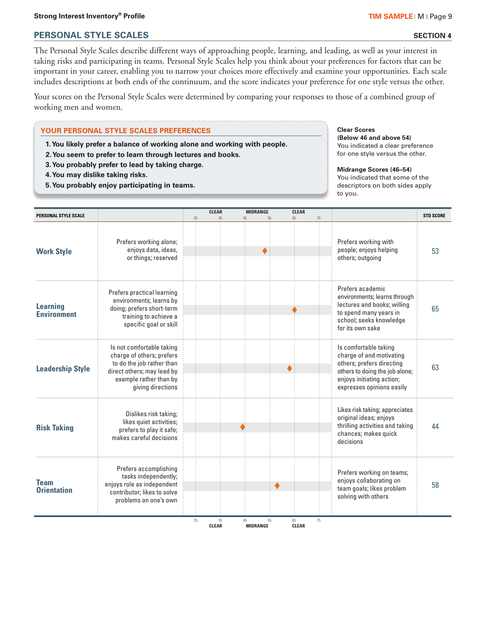# **PERSONAL STYLE SCALES**

**SECTION 4**

The Personal Style Scales describe different ways of approaching people, learning, and leading, as well as your interest in taking risks and participating in teams. Personal Style Scales help you think about your preferences for factors that can be important in your career, enabling you to narrow your choices more effectively and examine your opportunities. Each scale includes descriptions at both ends of the continuum, and the score indicates your preference for one style versus the other.

Your scores on the Personal Style Scales were determined by comparing your responses to those of a combined group of working men and women.

**CLEAR MIDRANGE CLEAR**

# **YOUR PERSONAL STYLE SCALES PREFERENCES**

**1. You likely prefer a balance of working alone and working with people.**

- **2. You seem to prefer to learn through lectures and books.**
- **3. You probably prefer to lead by taking charge.**
- **4. You may dislike taking risks.**

**5. You probably enjoy participating in teams.**

**Clear Scores (Below 46 and above 54)** You indicated a clear preference for one style versus the other.

#### **Midrange Scores (46–54)**

You indicated that some of the descriptors on both sides apply to you.

|                                                                                                                                                                  | 25 | 35 | 45 | 65              | 75 |                                                                                                                                                                            | <b>STD SCORE</b> |
|------------------------------------------------------------------------------------------------------------------------------------------------------------------|----|----|----|-----------------|----|----------------------------------------------------------------------------------------------------------------------------------------------------------------------------|------------------|
| Prefers working alone;<br>enjoys data, ideas,<br>or things; reserved                                                                                             |    |    | ♦  |                 |    | Prefers working with<br>people; enjoys helping<br>others; outgoing                                                                                                         | 53               |
| Prefers practical learning<br>environments; learns by<br>doing; prefers short-term<br>training to achieve a<br>specific goal or skill                            |    |    |    |                 |    | Prefers academic<br>environments; learns through<br>lectures and books; willing<br>to spend many years in<br>school; seeks knowledge<br>for its own sake                   | 65               |
| Is not comfortable taking<br>charge of others; prefers<br>to do the job rather than<br>direct others; may lead by<br>example rather than by<br>giving directions |    |    |    | ▲               |    | Is comfortable taking<br>charge of and motivating<br>others; prefers directing<br>others to doing the job alone;<br>enjoys initiating action;<br>expresses opinions easily | 63               |
| Dislikes risk taking;<br>likes quiet activities;<br>prefers to play it safe;<br>makes careful decisions                                                          |    |    |    |                 |    | Likes risk taking; appreciates<br>original ideas; enjoys<br>thrilling activities and taking<br>chances; makes quick<br>decisions                                           | 44               |
| Prefers accomplishing<br>tasks independently;<br>enjoys role as independent<br>contributor; likes to solve<br>problems on one's own                              |    |    |    | $\blacklozenge$ |    | Prefers working on teams;<br>enjoys collaborating on<br>team goals; likes problem<br>solving with others                                                                   | 58               |
|                                                                                                                                                                  |    |    |    |                 | 55 |                                                                                                                                                                            |                  |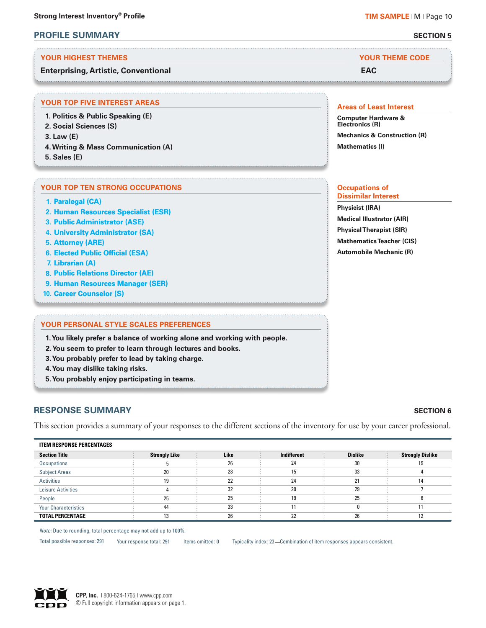# **PROFILE SUMMARY SECTION 5**

#### **YOUR HIGHEST THEMES YOUR THEME CODE**

**Enterprising, Artistic, Conventional EAC**

#### **YOUR TOP FIVE INTEREST AREAS**

- **1. Politics & Public Speaking (E)**
- **2. Social Sciences (S)**
- **3. Law (E)**
- **4. Writing & Mass Communication (A)**
- **5. Sales (E)**

#### **YOUR TOP TEN STRONG OCCUPATIONS**

#### **1. [Paralegal \(CA\)](http://www.onetonline.org/link/summary/23-2011.00)**

- **2. [Human Resources Specialist \(ESR\)](http://www.onetonline.org/link/summary/13-1071.00)**
- **3. [Public Administrator \(ASE\)](http://www.onetonline.org/link/summary/11-1011.00)**
- **4. [University Administrator \(SA\)](http://www.onetonline.org/link/summary/11-9033.00)**
- **5. [Attorney \(ARE\)](http://www.onetonline.org/link/summary/23-1011.00)**
- **6. [Elected Public Official \(ESA\)](http://www.onetonline.org/link/summary/11-1031.00)**
- **7. [Librarian \(A\)](http://www.onetonline.org/link/summary/25-4021.00)**
- **8. [Public Relations Director \(AE\)](http://www.onetonline.org/link/summary/11-2031.00)**
- **9. [Human Resources Manager \(SER\)](http://www.onetonline.org/link/summary/11-3121.00)**
- **10. [Career Counselor \(S\)](http://www.onetonline.org/link/summary/21-1012.00)**

#### **YOUR PERSONAL STYLE SCALES PREFERENCES**

- **1. You likely prefer a balance of working alone and working with people.**
- **2. You seem to prefer to learn through lectures and books.**
- **3. You probably prefer to lead by taking charge.**
- **4. You may dislike taking risks.**
- **5. You probably enjoy participating in teams.**

### **RESPONSE SUMMARY**

This section provides a summary of your responses to the different sections of the inventory for use by your career professional.

| <b>ITEM RESPONSE PERCENTAGES</b> |                      |             |             |                |                         |  |  |
|----------------------------------|----------------------|-------------|-------------|----------------|-------------------------|--|--|
| <b>Section Title</b>             | <b>Strongly Like</b> | <b>Like</b> | Indifferent | <b>Dislike</b> | <b>Strongly Dislike</b> |  |  |
| Occupations                      |                      | 26          | 24          | 30             |                         |  |  |
| <b>Subject Areas</b>             | 20                   | 28          | 15          | 33             |                         |  |  |
| Activities                       | 19                   | 22          | 24          | 21             |                         |  |  |
| Leisure Activities               |                      | 32          | 29          | 29             |                         |  |  |
| People                           | 25                   | 25          | 19          | 25             |                         |  |  |
| <b>Your Characteristics</b>      | 44                   | 33          | . .         |                |                         |  |  |
| <b>TOTAL PERCENTAGE</b>          | 19<br>נ ו            | 26          | 22          | 26             | $1^{\circ}$             |  |  |

*Note:* Due to rounding, total percentage may not add up to 100%.

Total possible responses: 291 Your response total: 291 Items omitted: 0 Typicality index: 23—Combination of item responses appears consistent.



**SECTION 6**

#### **Areas of Least Interest**

**Computer Hardware & Electronics (R) Mechanics & Construction (R) Mathematics (I)**

#### **Occupations of Dissimilar Interest**

**Physicist (IRA) Medical Illustrator (AIR) Physical Therapist (SIR) Mathematics Teacher (CIS) Automobile Mechanic (R)**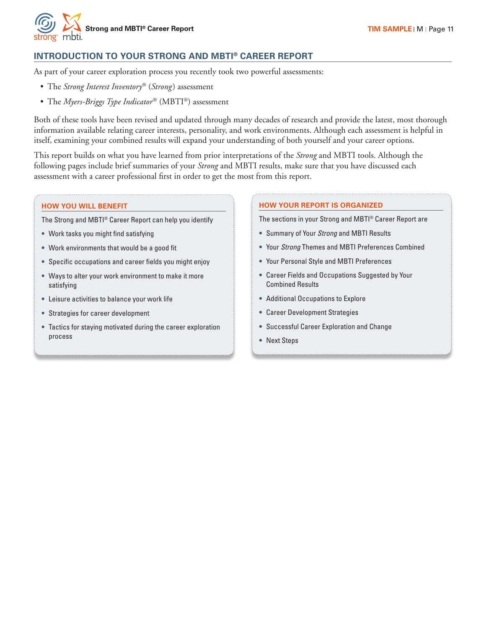

# **INTRODUCTION TO YOUR STRONG AND MBTI® CAREER REPORT**

As part of your career exploration process you recently took two powerful assessments:

- The *Strong Interest Inventory*® (*Strong*) assessment
- The *Myers-Briggs Type Indicator*® (MBTI®) assessment

Both of these tools have been revised and updated through many decades of research and provide the latest, most thorough information available relating career interests, personality, and work environments. Although each assessment is helpful in itself, examining your combined results will expand your understanding of both yourself and your career options.

This report builds on what you have learned from prior interpretations of the *Strong* and MBTI tools. Although the following pages include brief summaries of your *Strong* and MBTI results, make sure that you have discussed each assessment with a career professional first in order to get the most from this report.

# **HOW YOU WILL BENEFIT**

The Strong and MBTI® Career Report can help you identify

- **•** Work tasks you might find satisfying
- **•** Work environments that would be a good fit
- **•** Specific occupations and career fields you might enjoy
- **•** Ways to alter your work environment to make it more satisfying
- **•** Leisure activities to balance your work life
- **•** Strategies for career development
- **•** Tactics for staying motivated during the career exploration process

# **HOW YOUR REPORT IS ORGANIZED**

The sections in your Strong and MBTI® Career Report are

- **•** Summary of Your *Strong* and MBTI Results
- **•** Your *Strong* Themes and MBTI Preferences Combined
- **•** Your Personal Style and MBTI Preferences
- **•** Career Fields and Occupations Suggested by Your Combined Results
- **•** Additional Occupations to Explore
- **•** Career Development Strategies
- **•** Successful Career Exploration and Change
- **•** Next Steps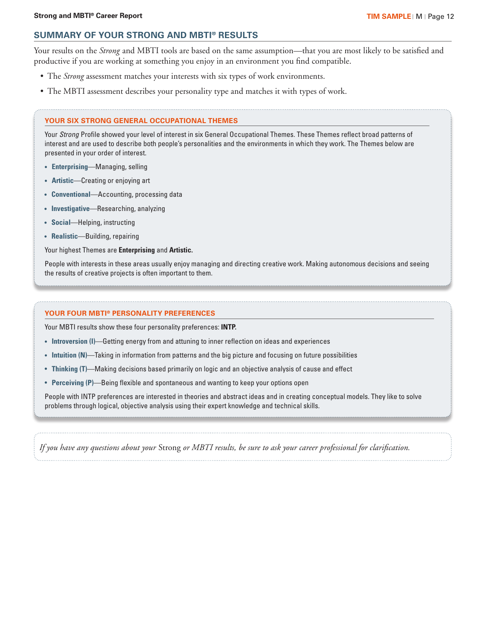# **SUMMARY OF YOUR STRONG AND MBTI® RESULTS**

Your results on the *Strong* and MBTI tools are based on the same assumption—that you are most likely to be satisfied and productive if you are working at something you enjoy in an environment you find compatible.

- The *Strong* assessment matches your interests with six types of work environments.
- The MBTI assessment describes your personality type and matches it with types of work.

#### **YOUR SIX STRONG GENERAL OCCUPATIONAL THEMES**

Your *Strong* Profile showed your level of interest in six General Occupational Themes. These Themes reflect broad patterns of interest and are used to describe both people's personalities and the environments in which they work. The Themes below are presented in your order of interest.

- **• Enterprising**—Managing, selling
- **• Artistic**—Creating or enjoying art
- **• Conventional**—Accounting, processing data
- **• Investigative**—Researching, analyzing
- **• Social**—Helping, instructing
- **• Realistic**—Building, repairing

Your highest Themes are **Enterprising** and **Artistic.**

People with interests in these areas usually enjoy managing and directing creative work. Making autonomous decisions and seeing the results of creative projects is often important to them.

#### **YOUR FOUR MBTI® PERSONALITY PREFERENCES**

Your MBTI results show these four personality preferences: **INTP.**

- **• Introversion (I)**—Getting energy from and attuning to inner reflection on ideas and experiences
- **• Intuition (N)**—Taking in information from patterns and the big picture and focusing on future possibilities
- • **Thinking (T)**—Making decisions based primarily on logic and an objective analysis of cause and effect
- • **Perceiving (P)**—Being flexible and spontaneous and wanting to keep your options open

People with INTP preferences are interested in theories and abstract ideas and in creating conceptual models. They like to solve problems through logical, objective analysis using their expert knowledge and technical skills.

*If you have any questions about your* Strong *or MBTI results, be sure to ask your career professional for clarification.*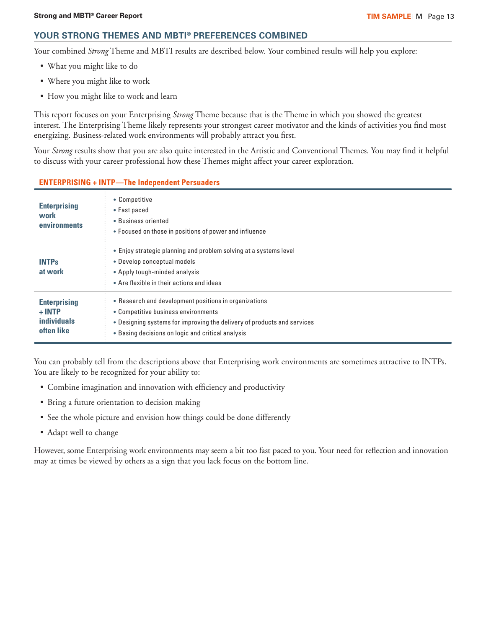# **YOUR STRONG THEMES AND MBTI® PREFERENCES COMBINED**

Your combined *Strong* Theme and MBTI results are described below. Your combined results will help you explore:

- • What you might like to do
- Where you might like to work
- How you might like to work and learn

This report focuses on your Enterprising *Strong* Theme because that is the Theme in which you showed the greatest interest. The Enterprising Theme likely represents your strongest career motivator and the kinds of activities you find most energizing. Business-related work environments will probably attract you first.

Your *Strong* results show that you are also quite interested in the Artistic and Conventional Themes. You may find it helpful to discuss with your career professional how these Themes might affect your career exploration.

# **ENTERPRISING + INTP—The Independent Persuaders**

| <b>Enterprising</b><br>work<br><b>environments</b>                  | • Competitive<br>• Fast paced<br>• Business oriented<br>• Focused on those in positions of power and influence                                                                                                               |
|---------------------------------------------------------------------|------------------------------------------------------------------------------------------------------------------------------------------------------------------------------------------------------------------------------|
| <b>INTPs</b><br>at work                                             | • Enjoy strategic planning and problem solving at a systems level<br>• Develop conceptual models<br>• Apply tough-minded analysis<br>• Are flexible in their actions and ideas                                               |
| <b>Enterprising</b><br>$+$ INTP<br><i>individuals</i><br>often like | • Research and development positions in organizations<br>• Competitive business environments<br>. Designing systems for improving the delivery of products and services<br>• Basing decisions on logic and critical analysis |

You can probably tell from the descriptions above that Enterprising work environments are sometimes attractive to INTPs. You are likely to be recognized for your ability to:

- • Combine imagination and innovation with efficiency and productivity
- Bring a future orientation to decision making
- See the whole picture and envision how things could be done differently
- Adapt well to change

However, some Enterprising work environments may seem a bit too fast paced to you. Your need for reflection and innovation may at times be viewed by others as a sign that you lack focus on the bottom line.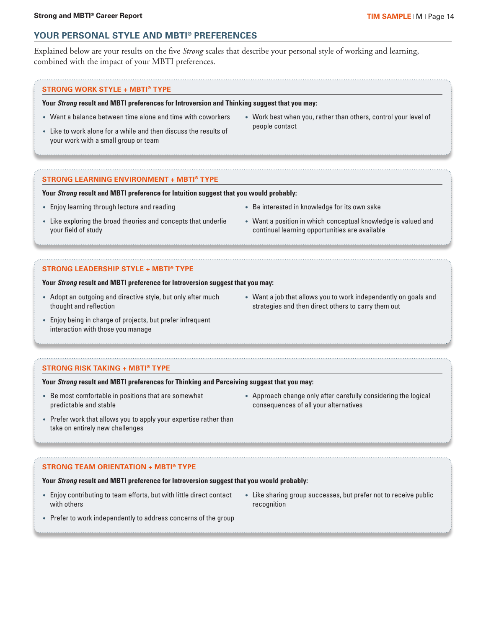# **YOUR PERSONAL STYLE AND MBTI® PREFERENCES**

Explained below are your results on the five *Strong* scales that describe your personal style of working and learning, combined with the impact of your MBTI preferences.

#### **STRONG WORK STYLE + MBTI® TYPE**

#### **Your** *Strong* **result and MBTI preferences for Introversion and Thinking suggest that you may:**

- **•** Want a balance between time alone and time with coworkers
- **•** Like to work alone for a while and then discuss the results of your work with a small group or team
- **•** Work best when you, rather than others, control your level of people contact

#### **STRONG LEARNING ENVIRONMENT + MBTI® TYPE**

**Your** *Strong* **result and MBTI preference for Intuition suggest that you would probably:** 

**•** Enjoy learning through lecture and reading

- **•** Be interested in knowledge for its own sake
- **•** Like exploring the broad theories and concepts that underlie your field of study
- **•** Want a position in which conceptual knowledge is valued and continual learning opportunities are available

#### **STRONG LEADERSHIP STYLE + MBTI® TYPE**

#### **Your** *Strong* **result and MBTI preference for Introversion suggest that you may:**

- **•** Adopt an outgoing and directive style, but only after much thought and reflection
- **•** Want a job that allows you to work independently on goals and strategies and then direct others to carry them out
- **•** Enjoy being in charge of projects, but prefer infrequent interaction with those you manage

#### **STRONG RISK TAKING + MBTI® TYPE**

#### **Your** *Strong* **result and MBTI preferences for Thinking and Perceiving suggest that you may:**

- **•** Be most comfortable in positions that are somewhat predictable and stable
- **•** Approach change only after carefully considering the logical consequences of all your alternatives
- **•** Prefer work that allows you to apply your expertise rather than take on entirely new challenges

#### **STRONG TEAM ORIENTATION + MBTI® TYPE**

#### **Your** *Strong* **result and MBTI preference for Introversion suggest that you would probably:**

- **•** Enjoy contributing to team efforts, but with little direct contact with others
- **•** Like sharing group successes, but prefer not to receive public recognition
- **•** Prefer to work independently to address concerns of the group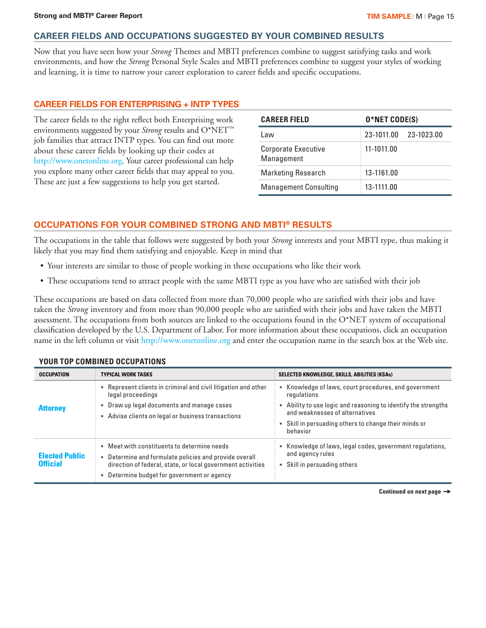# **CAREER FIELDS AND OCCUPATIONS SUGGESTED BY YOUR COMBINED RESULTS**

Now that you have seen how your *Strong* Themes and MBTI preferences combine to suggest satisfying tasks and work environments, and how the *Strong* Personal Style Scales and MBTI preferences combine to suggest your styles of working and learning, it is time to narrow your career exploration to career fields and specific occupations.

# **CAREER FIELDS FOR ENTERPRISING + INTP TYPES**

The career fields to the right reflect both Enterprising work environments suggested by your *Strong* results and O\*NET™ job families that attract INTP types. You can find out more about these career fields by looking up their codes at http://www.onetonline.org. Your career professional can help you explore many other career fields that may appeal to you. These are just a few suggestions to help you get started.

| <b>CAREER FIELD</b>                      | 0*NET CODE(S) |                       |  |
|------------------------------------------|---------------|-----------------------|--|
| Law                                      |               | 23-1011.00 23-1023.00 |  |
| <b>Corporate Executive</b><br>Management | 11-1011.00    |                       |  |
| <b>Marketing Research</b>                | 13-1161.00    |                       |  |
| <b>Management Consulting</b>             | 13-1111.00    |                       |  |

# **OCCUPATIONS FOR YOUR COMBINED STRONG AND MBTI® RESULTS**

The occupations in the table that follows were suggested by both your *Strong* interests and your MBTI type, thus making it likely that you may find them satisfying and enjoyable. Keep in mind that

- • Your interests are similar to those of people working in these occupations who like their work
- These occupations tend to attract people with the same MBTI type as you have who are satisfied with their job

These occupations are based on data collected from more than 70,000 people who are satisfied with their jobs and have taken the *Strong* inventory and from more than 90,000 people who are satisfied with their jobs and have taken the MBTI assessment. The occupations from both sources are linked to the occupations found in the  $O^*NET$  system of occupational classification developed by the U.S. Department of Labor. For more information about these occupations, click an occupation name in the left column or visit http://www.onetonline.org and enter the occupation name in the search box at the Web site.

| <b>OCCUPATION</b>                        | TYPICAL WORK TASKS                                                                                                  | SELECTED KNOWLEDGE, SKILLS, ABILITIES (KSAs)                                                   |
|------------------------------------------|---------------------------------------------------------------------------------------------------------------------|------------------------------------------------------------------------------------------------|
|                                          | Represent clients in criminal and civil litigation and other<br>legal proceedings                                   | Knowledge of laws, court procedures, and government<br>regulations                             |
| <b>Attorney</b>                          | Draw up legal documents and manage cases<br>Advise clients on legal or business transactions                        | Ability to use logic and reasoning to identify the strengths<br>and weaknesses of alternatives |
|                                          |                                                                                                                     | Skill in persuading others to change their minds or<br>behavior                                |
|                                          | • Meet with constituents to determine needs                                                                         | Knowledge of laws, legal codes, government regulations,                                        |
| <b>Elected Public</b><br><b>Official</b> | Determine and formulate policies and provide overall<br>direction of federal, state, or local government activities | and agency rules<br>Skill in persuading others                                                 |
|                                          | Determine budget for government or agency                                                                           |                                                                                                |

# **YOUR TOP COMBINED OCCUPATIONS**

**Continued on next page**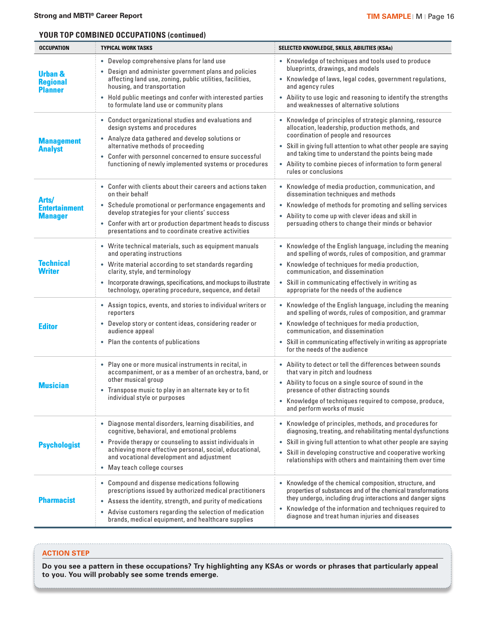# **YOUR TOP COMBINED OCCUPATIONS (continued)**

| <b>OCCUPATION</b>                                       | <b>TYPICAL WORK TASKS</b>                                                                                                                                                                                                                                                                                      | SELECTED KNOWLEDGE, SKILLS, ABILITIES (KSAs)                                                                                                                                                                                                                                                                                                                          |
|---------------------------------------------------------|----------------------------------------------------------------------------------------------------------------------------------------------------------------------------------------------------------------------------------------------------------------------------------------------------------------|-----------------------------------------------------------------------------------------------------------------------------------------------------------------------------------------------------------------------------------------------------------------------------------------------------------------------------------------------------------------------|
| <b>Urban &amp;</b><br><b>Regional</b><br><b>Planner</b> | • Develop comprehensive plans for land use<br>• Design and administer government plans and policies<br>affecting land use, zoning, public utilities, facilities,<br>housing, and transportation<br>• Hold public meetings and confer with interested parties<br>to formulate land use or community plans       | • Knowledge of techniques and tools used to produce<br>blueprints, drawings, and models<br>• Knowledge of laws, legal codes, government regulations,<br>and agency rules<br>• Ability to use logic and reasoning to identify the strengths<br>and weaknesses of alternative solutions                                                                                 |
| <b>Management</b><br><b>Analyst</b>                     | • Conduct organizational studies and evaluations and<br>design systems and procedures<br>• Analyze data gathered and develop solutions or<br>alternative methods of proceeding<br>• Confer with personnel concerned to ensure successful<br>functioning of newly implemented systems or procedures             | • Knowledge of principles of strategic planning, resource<br>allocation, leadership, production methods, and<br>coordination of people and resources<br>• Skill in giving full attention to what other people are saying<br>and taking time to understand the points being made<br>• Ability to combine pieces of information to form general<br>rules or conclusions |
| Arts/<br><b>Entertainment</b><br><b>Manager</b>         | • Confer with clients about their careers and actions taken<br>on their behalf<br>• Schedule promotional or performance engagements and<br>develop strategies for your clients' success<br>• Confer with art or production department heads to discuss<br>presentations and to coordinate creative activities  | • Knowledge of media production, communication, and<br>dissemination techniques and methods<br>• Knowledge of methods for promoting and selling services<br>• Ability to come up with clever ideas and skill in<br>persuading others to change their minds or behavior                                                                                                |
| <b>Technical</b><br><b>Writer</b>                       | • Write technical materials, such as equipment manuals<br>and operating instructions<br>• Write material according to set standards regarding<br>clarity, style, and terminology<br>• Incorporate drawings, specifications, and mockups to illustrate<br>technology, operating procedure, sequence, and detail | • Knowledge of the English language, including the meaning<br>and spelling of words, rules of composition, and grammar<br>• Knowledge of techniques for media production,<br>communication, and dissemination<br>• Skill in communicating effectively in writing as<br>appropriate for the needs of the audience                                                      |
| <b>Editor</b>                                           | • Assign topics, events, and stories to individual writers or<br>reporters<br>• Develop story or content ideas, considering reader or<br>audience appeal<br>• Plan the contents of publications                                                                                                                | • Knowledge of the English language, including the meaning<br>and spelling of words, rules of composition, and grammar<br>• Knowledge of techniques for media production,<br>communication, and dissemination<br>• Skill in communicating effectively in writing as appropriate<br>for the needs of the audience                                                      |
| <b>Musician</b>                                         | • Play one or more musical instruments in recital, in<br>accompaniment, or as a member of an orchestra, band, or<br>other musical group<br>• Transpose music to play in an alternate key or to fit<br>individual style or purposes                                                                             | • Ability to detect or tell the differences between sounds<br>that vary in pitch and loudness<br>• Ability to focus on a single source of sound in the<br>presence of other distracting sounds<br>• Knowledge of techniques required to compose, produce,<br>and perform works of music                                                                               |
| <b>Psychologist</b>                                     | • Diagnose mental disorders, learning disabilities, and<br>cognitive, behavioral, and emotional problems<br>• Provide therapy or counseling to assist individuals in<br>achieving more effective personal, social, educational,<br>and vocational development and adjustment<br>• May teach college courses    | • Knowledge of principles, methods, and procedures for<br>diagnosing, treating, and rehabilitating mental dysfunctions<br>• Skill in giving full attention to what other people are saying<br>• Skill in developing constructive and cooperative working<br>relationships with others and maintaining them over time                                                  |
| <b>Pharmacist</b>                                       | • Compound and dispense medications following<br>prescriptions issued by authorized medical practitioners<br>• Assess the identity, strength, and purity of medications<br>• Advise customers regarding the selection of medication<br>brands, medical equipment, and healthcare supplies                      | • Knowledge of the chemical composition, structure, and<br>properties of substances and of the chemical transformations<br>they undergo, including drug interactions and danger signs<br>• Knowledge of the information and techniques required to<br>diagnose and treat human injuries and diseases                                                                  |

### **ACTION STEP**

**Do you see a pattern in these occupations? Try highlighting any KSAs or words or phrases that particularly appeal to you. You will probably see some trends emerge.**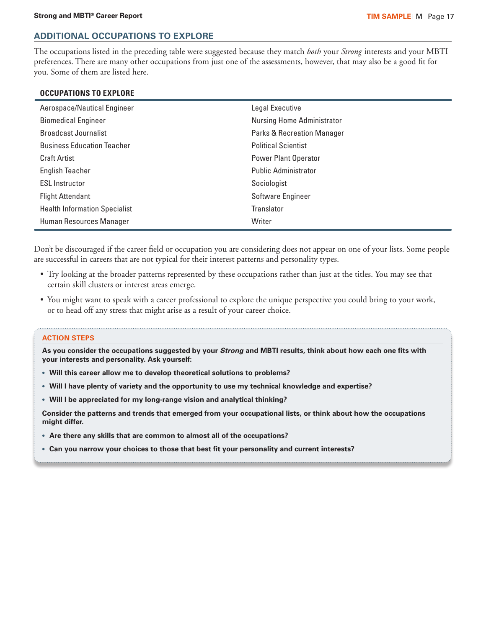# **ADDITIONAL OCCUPATIONS TO EXPLORE**

The occupations listed in the preceding table were suggested because they match *both* your *Strong* interests and your MBTI preferences. There are many other occupations from just one of the assessments, however, that may also be a good fit for you. Some of them are listed here.

#### **OCCUPATIONS TO EXPLORE**

| Aerospace/Nautical Engineer          | Legal Executive                       |
|--------------------------------------|---------------------------------------|
| <b>Biomedical Engineer</b>           | <b>Nursing Home Administrator</b>     |
| <b>Broadcast Journalist</b>          | <b>Parks &amp; Recreation Manager</b> |
| <b>Business Education Teacher</b>    | <b>Political Scientist</b>            |
| <b>Craft Artist</b>                  | <b>Power Plant Operator</b>           |
| English Teacher                      | <b>Public Administrator</b>           |
| <b>ESL Instructor</b>                | Sociologist                           |
| <b>Flight Attendant</b>              | Software Engineer                     |
| <b>Health Information Specialist</b> | Translator                            |
| Human Resources Manager              | Writer                                |

Don't be discouraged if the career field or occupation you are considering does not appear on one of your lists. Some people are successful in careers that are not typical for their interest patterns and personality types.

- • Try looking at the broader patterns represented by these occupations rather than just at the titles. You may see that certain skill clusters or interest areas emerge.
- • You might want to speak with a career professional to explore the unique perspective you could bring to your work, or to head off any stress that might arise as a result of your career choice.

#### **ACTION STEPS**

**As you consider the occupations suggested by your** *Strong* **and MBTI results, think about how each one fits with your interests and personality. Ask yourself:** 

- **• Will this career allow me to develop theoretical solutions to problems?**
- **• Will I have plenty of variety and the opportunity to use my technical knowledge and expertise?**
- **• Will I be appreciated for my long-range vision and analytical thinking?**

**Consider the patterns and trends that emerged from your occupational lists, or think about how the occupations might differ.** 

- **• Are there any skills that are common to almost all of the occupations?**
- **• Can you narrow your choices to those that best fit your personality and current interests?**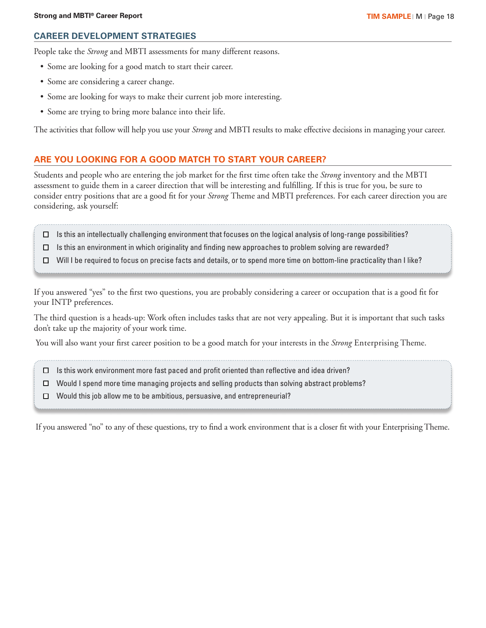# **CAREER DEVELOPMENT STRATEGIES**

People take the *Strong* and MBTI assessments for many different reasons.

- Some are looking for a good match to start their career.
- Some are considering a career change.
- Some are looking for ways to make their current job more interesting.
- Some are trying to bring more balance into their life.

The activities that follow will help you use your *Strong* and MBTI results to make effective decisions in managing your career.

# **ARE YOU LOOKING FOR A GOOD MATCH TO START YOUR CAREER?**

Students and people who are entering the job market for the first time often take the *Strong* inventory and the MBTI assessment to guide them in a career direction that will be interesting and fulfilling. If this is true for you, be sure to consider entry positions that are a good fit for your *Strong* Theme and MBTI preferences. For each career direction you are considering, ask yourself:

 $\Box$  Is this an intellectually challenging environment that focuses on the logical analysis of long-range possibilities?

 $\Box$  Is this an environment in which originality and finding new approaches to problem solving are rewarded?

 $\Box$  Will I be required to focus on precise facts and details, or to spend more time on bottom-line practicality than I like?

If you answered "yes" to the first two questions, you are probably considering a career or occupation that is a good fit for your INTP preferences.

The third question is a heads-up: Work often includes tasks that are not very appealing. But it is important that such tasks don't take up the majority of your work time.

You will also want your first career position to be a good match for your interests in the *Strong* Enterprising Theme.

 $\Box$  Is this work environment more fast paced and profit oriented than reflective and idea driven?

- Would I spend more time managing projects and selling products than solving abstract problems? □
- $\Box$  Would this job allow me to be ambitious, persuasive, and entrepreneurial?

If you answered "no" to any of these questions, try to find a work environment that is a closer fit with your Enterprising Theme.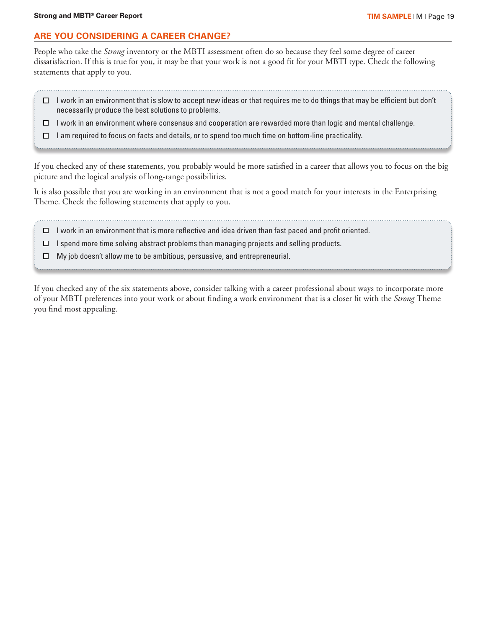# **ARE YOU CONSIDERING A CAREER CHANGE?**

People who take the *Strong* inventory or the MBTI assessment often do so because they feel some degree of career dissatisfaction. If this is true for you, it may be that your work is not a good fit for your MBTI type. Check the following statements that apply to you.

- I work in an environment that is slow to accept new ideas or that requires me to do things that may be efficient but don't  $\Box$ necessarily produce the best solutions to problems.
- $\Box$  I work in an environment where consensus and cooperation are rewarded more than logic and mental challenge.
- $\Box$  I am required to focus on facts and details, or to spend too much time on bottom-line practicality.

If you checked any of these statements, you probably would be more satisfied in a career that allows you to focus on the big picture and the logical analysis of long-range possibilities.

It is also possible that you are working in an environment that is not a good match for your interests in the Enterprising Theme. Check the following statements that apply to you.

- I work in an environment that is more reflective and idea driven than fast paced and profit oriented.  $\Box$
- $\Box$  I spend more time solving abstract problems than managing projects and selling products.
- My job doesn't allow me to be ambitious, persuasive, and entrepreneurial. □

If you checked any of the six statements above, consider talking with a career professional about ways to incorporate more of your MBTI preferences into your work or about finding a work environment that is a closer fit with the *Strong* Theme you find most appealing.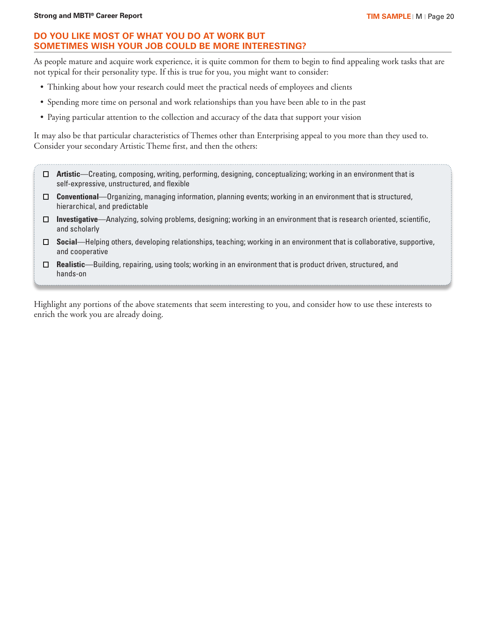# **DO YOU LIKE MOST OF WHAT YOU DO AT WORK BUT SOMETIMES WISH YOUR JOB COULD BE MORE INTERESTING?**

As people mature and acquire work experience, it is quite common for them to begin to find appealing work tasks that are not typical for their personality type. If this is true for you, you might want to consider:

- Thinking about how your research could meet the practical needs of employees and clients
- • Spending more time on personal and work relationships than you have been able to in the past
- Paying particular attention to the collection and accuracy of the data that support your vision

It may also be that particular characteristics of Themes other than Enterprising appeal to you more than they used to. Consider your secondary Artistic Theme first, and then the others:

- **Artistic**—Creating, composing, writing, performing, designing, conceptualizing; working in an environment that is self-expressive, unstructured, and flexible
- **Conventional**—Organizing, managing information, planning events; working in an environment that is structured, hierarchical, and predictable
- **Investigative**—Analyzing, solving problems, designing; working in an environment that is research oriented, scientific, and scholarly
- **Social**—Helping others, developing relationships, teaching; working in an environment that is collaborative, supportive, and cooperative
- **Realistic**—Building, repairing, using tools; working in an environment that is product driven, structured, and hands-on

Highlight any portions of the above statements that seem interesting to you, and consider how to use these interests to enrich the work you are already doing.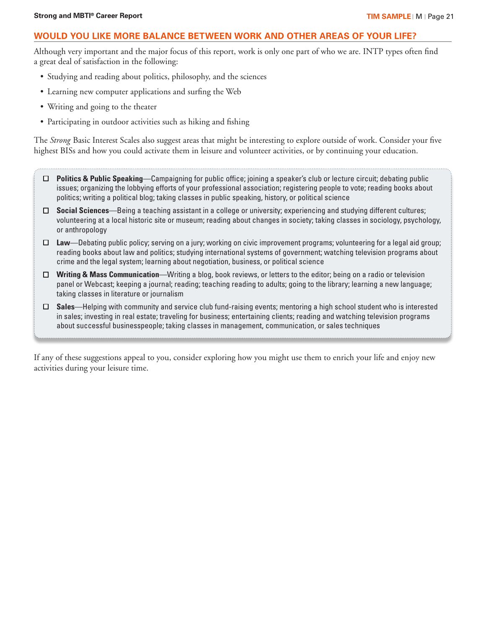# **WOULD YOU LIKE MORE BALANCE BETWEEN WORK AND OTHER AREAS OF YOUR LIFE?**

Although very important and the major focus of this report, work is only one part of who we are. INTP types often find a great deal of satisfaction in the following:

- Studying and reading about politics, philosophy, and the sciences
- Learning new computer applications and surfing the Web
- Writing and going to the theater
- Participating in outdoor activities such as hiking and fishing

The *Strong* Basic Interest Scales also suggest areas that might be interesting to explore outside of work. Consider your five highest BISs and how you could activate them in leisure and volunteer activities, or by continuing your education.

- **Politics & Public Speaking**—Campaigning for public office; joining a speaker's club or lecture circuit; debating public issues; organizing the lobbying efforts of your professional association; registering people to vote; reading books about politics; writing a political blog; taking classes in public speaking, history, or political science
- **Social Sciences**—Being a teaching assistant in a college or university; experiencing and studying different cultures; volunteering at a local historic site or museum; reading about changes in society; taking classes in sociology, psychology, or anthropology
- **Law**—Debating public policy; serving on a jury; working on civic improvement programs; volunteering for a legal aid group; reading books about law and politics; studying international systems of government; watching television programs about crime and the legal system; learning about negotiation, business, or political science
- **Writing & Mass Communication**—Writing a blog, book reviews, or letters to the editor; being on a radio or television panel or Webcast; keeping a journal; reading; teaching reading to adults; going to the library; learning a new language; taking classes in literature or journalism
- **Sales**—Helping with community and service club fund-raising events; mentoring a high school student who is interested in sales; investing in real estate; traveling for business; entertaining clients; reading and watching television programs about successful businesspeople; taking classes in management, communication, or sales techniques

If any of these suggestions appeal to you, consider exploring how you might use them to enrich your life and enjoy new activities during your leisure time.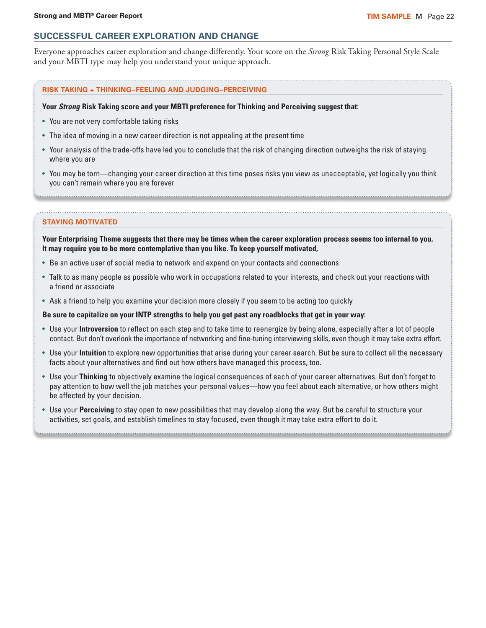# **SUCCESSFUL CAREER EXPLORATION AND CHANGE**

Everyone approaches career exploration and change differently. Your score on the *Strong* Risk Taking Personal Style Scale and your MBTI type may help you understand your unique approach.

#### **RISK TAKING + THINKING–FEELING AND JUDGING–PERCEIVING**

#### **Your** *Strong* **Risk Taking score and your MBTI preference for Thinking and Perceiving suggest that:**

- You are not very comfortable taking risks
- The idea of moving in a new career direction is not appealing at the present time
- Your analysis of the trade-offs have led you to conclude that the risk of changing direction outweighs the risk of staying where you are
- You may be torn—changing your career direction at this time poses risks you view as unacceptable, yet logically you think you can't remain where you are forever

#### **STAYING MOTIVATED**

**Your Enterprising Theme suggests that there may be times when the career exploration process seems too internal to you. It may require you to be more contemplative than you like. To keep yourself motivated,** 

- Be an active user of social media to network and expand on your contacts and connections
- Talk to as many people as possible who work in occupations related to your interests, and check out your reactions with a friend or associate
- Ask a friend to help you examine your decision more closely if you seem to be acting too quickly

#### **Be sure to capitalize on your INTP strengths to help you get past any roadblocks that get in your way:**

- Use your **Introversion** to reflect on each step and to take time to reenergize by being alone, especially after a lot of people contact. But don't overlook the importance of networking and fine-tuning interviewing skills, even though it may take extra effort.
- Use your **Intuition** to explore new opportunities that arise during your career search. But be sure to collect all the necessary facts about your alternatives and find out how others have managed this process, too.
- Use your **Thinking** to objectively examine the logical consequences of each of your career alternatives. But don't forget to pay attention to how well the job matches your personal values—how you feel about each alternative, or how others might be affected by your decision.
- Use your **Perceiving** to stay open to new possibilities that may develop along the way. But be careful to structure your activities, set goals, and establish timelines to stay focused, even though it may take extra effort to do it.